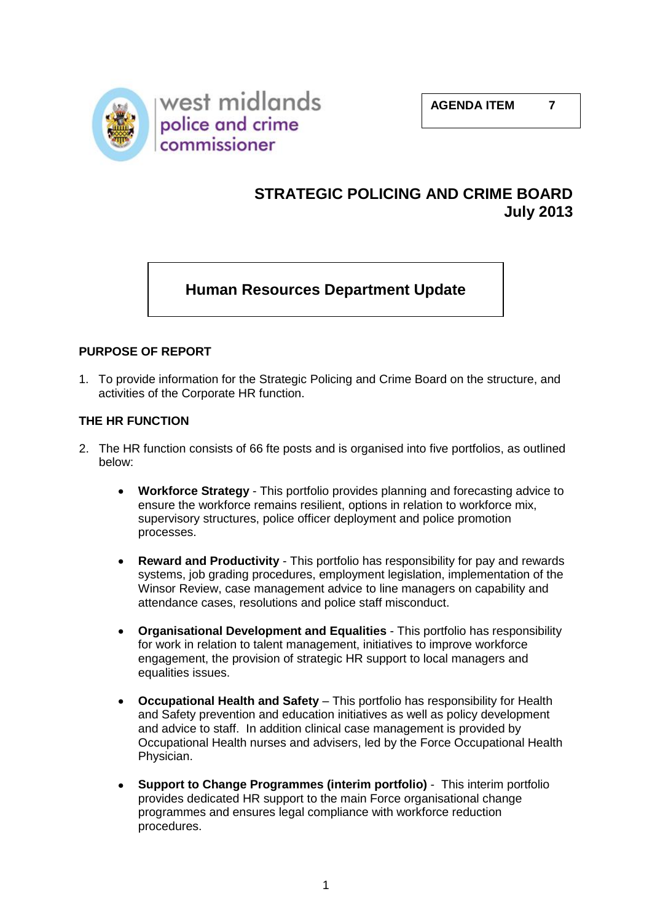

# **STRATEGIC POLICING AND CRIME BOARD July 2013**

# **Human Resources Department Update**

### **PURPOSE OF REPORT**

1. To provide information for the Strategic Policing and Crime Board on the structure, and activities of the Corporate HR function.

### **THE HR FUNCTION**

- 2. The HR function consists of 66 fte posts and is organised into five portfolios, as outlined below:
	- **Workforce Strategy** This portfolio provides planning and forecasting advice to ensure the workforce remains resilient, options in relation to workforce mix, supervisory structures, police officer deployment and police promotion processes.
	- **Reward and Productivity** This portfolio has responsibility for pay and rewards systems, job grading procedures, employment legislation, implementation of the Winsor Review, case management advice to line managers on capability and attendance cases, resolutions and police staff misconduct.
	- **Organisational Development and Equalities** This portfolio has responsibility  $\bullet$ for work in relation to talent management, initiatives to improve workforce engagement, the provision of strategic HR support to local managers and equalities issues.
	- **Occupational Health and Safety**  This portfolio has responsibility for Health and Safety prevention and education initiatives as well as policy development and advice to staff. In addition clinical case management is provided by Occupational Health nurses and advisers, led by the Force Occupational Health Physician.
	- **Support to Change Programmes (interim portfolio)** This interim portfolio provides dedicated HR support to the main Force organisational change programmes and ensures legal compliance with workforce reduction procedures.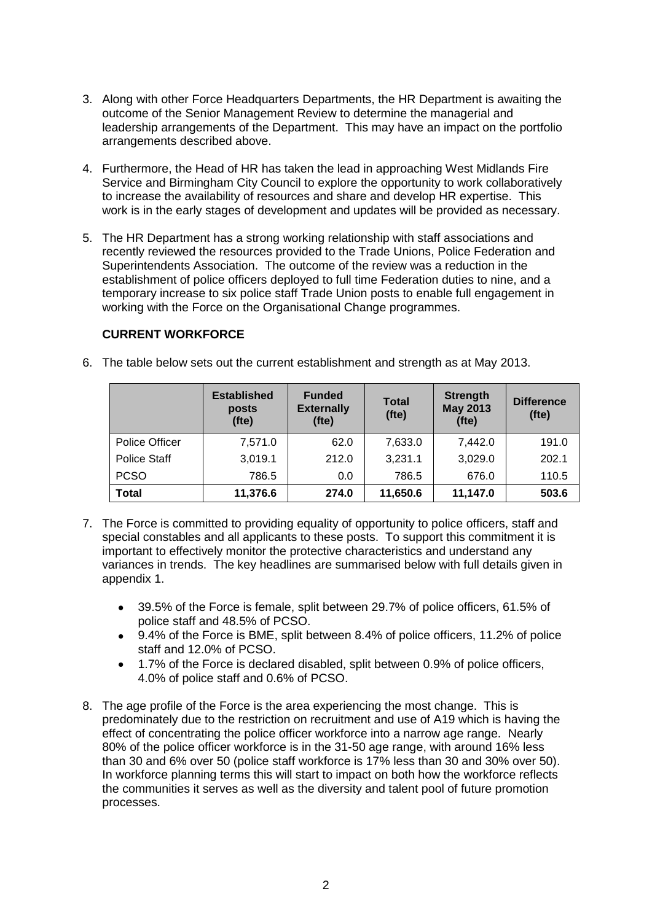- 3. Along with other Force Headquarters Departments, the HR Department is awaiting the outcome of the Senior Management Review to determine the managerial and leadership arrangements of the Department. This may have an impact on the portfolio arrangements described above.
- 4. Furthermore, the Head of HR has taken the lead in approaching West Midlands Fire Service and Birmingham City Council to explore the opportunity to work collaboratively to increase the availability of resources and share and develop HR expertise. This work is in the early stages of development and updates will be provided as necessary.
- 5. The HR Department has a strong working relationship with staff associations and recently reviewed the resources provided to the Trade Unions, Police Federation and Superintendents Association. The outcome of the review was a reduction in the establishment of police officers deployed to full time Federation duties to nine, and a temporary increase to six police staff Trade Union posts to enable full engagement in working with the Force on the Organisational Change programmes.

#### **CURRENT WORKFORCE**

6. The table below sets out the current establishment and strength as at May 2013.

|                     | <b>Established</b><br>posts<br>(fte) | <b>Funded</b><br><b>Externally</b><br>(tte) | <b>Total</b><br>(fte) | <b>Strength</b><br><b>May 2013</b><br>(fte) | <b>Difference</b><br>$($ fte $)$ |
|---------------------|--------------------------------------|---------------------------------------------|-----------------------|---------------------------------------------|----------------------------------|
| Police Officer      | 7,571.0                              | 62.0                                        | 7,633.0               | 7,442.0                                     | 191.0                            |
| <b>Police Staff</b> | 3,019.1                              | 212.0                                       | 3,231.1               | 3,029.0                                     | 202.1                            |
| <b>PCSO</b>         | 786.5                                | 0.0                                         | 786.5                 | 676.0                                       | 110.5                            |
| <b>Total</b>        | 11,376.6                             | 274.0                                       | 11,650.6              | 11,147.0                                    | 503.6                            |

- 7. The Force is committed to providing equality of opportunity to police officers, staff and special constables and all applicants to these posts. To support this commitment it is important to effectively monitor the protective characteristics and understand any variances in trends. The key headlines are summarised below with full details given in appendix 1.
	- 39.5% of the Force is female, split between 29.7% of police officers, 61.5% of police staff and 48.5% of PCSO.
	- 9.4% of the Force is BME, split between 8.4% of police officers, 11.2% of police staff and 12.0% of PCSO.
	- 1.7% of the Force is declared disabled, split between 0.9% of police officers,  $\bullet$ 4.0% of police staff and 0.6% of PCSO.
- 8. The age profile of the Force is the area experiencing the most change. This is predominately due to the restriction on recruitment and use of A19 which is having the effect of concentrating the police officer workforce into a narrow age range. Nearly 80% of the police officer workforce is in the 31-50 age range, with around 16% less than 30 and 6% over 50 (police staff workforce is 17% less than 30 and 30% over 50). In workforce planning terms this will start to impact on both how the workforce reflects the communities it serves as well as the diversity and talent pool of future promotion processes.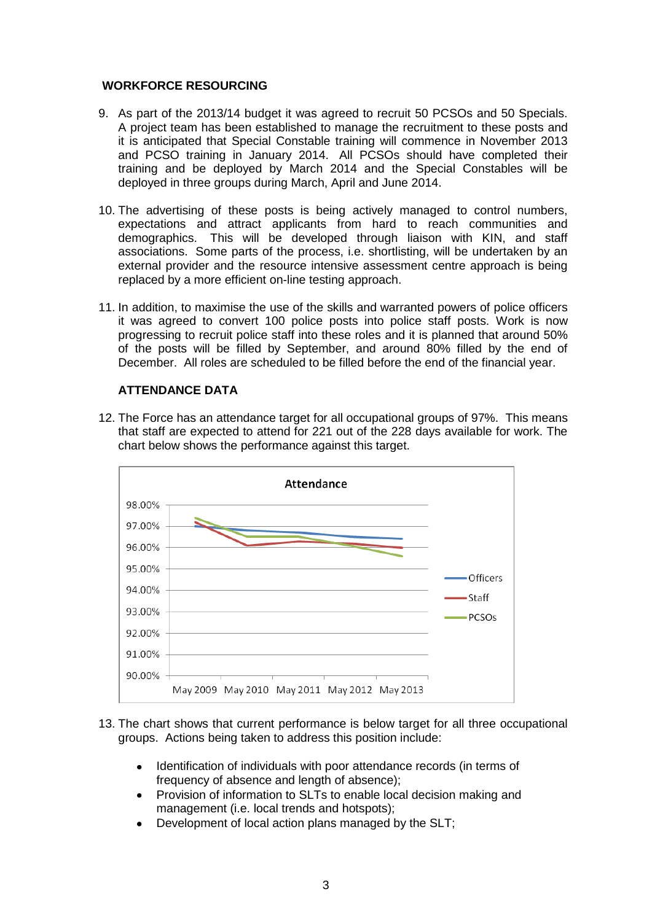### **WORKFORCE RESOURCING**

- 9. As part of the 2013/14 budget it was agreed to recruit 50 PCSOs and 50 Specials. A project team has been established to manage the recruitment to these posts and it is anticipated that Special Constable training will commence in November 2013 and PCSO training in January 2014. All PCSOs should have completed their training and be deployed by March 2014 and the Special Constables will be deployed in three groups during March, April and June 2014.
- 10. The advertising of these posts is being actively managed to control numbers, expectations and attract applicants from hard to reach communities and demographics. This will be developed through liaison with KIN, and staff associations. Some parts of the process, i.e. shortlisting, will be undertaken by an external provider and the resource intensive assessment centre approach is being replaced by a more efficient on-line testing approach.
- 11. In addition, to maximise the use of the skills and warranted powers of police officers it was agreed to convert 100 police posts into police staff posts. Work is now progressing to recruit police staff into these roles and it is planned that around 50% of the posts will be filled by September, and around 80% filled by the end of December. All roles are scheduled to be filled before the end of the financial year.

### **ATTENDANCE DATA**

12. The Force has an attendance target for all occupational groups of 97%. This means that staff are expected to attend for 221 out of the 228 days available for work. The chart below shows the performance against this target.



- 13. The chart shows that current performance is below target for all three occupational groups. Actions being taken to address this position include:
	- Identification of individuals with poor attendance records (in terms of frequency of absence and length of absence);
	- Provision of information to SLTs to enable local decision making and management (i.e. local trends and hotspots);
	- Development of local action plans managed by the SLT;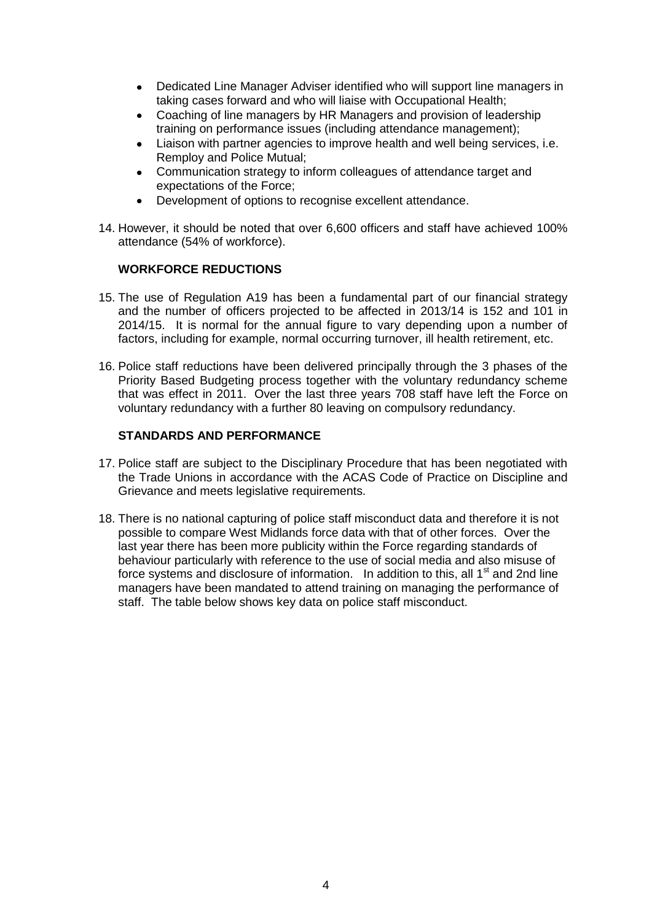- Dedicated Line Manager Adviser identified who will support line managers in  $\bullet$ taking cases forward and who will liaise with Occupational Health;
- Coaching of line managers by HR Managers and provision of leadership  $\bullet$ training on performance issues (including attendance management);
- Liaison with partner agencies to improve health and well being services, i.e. Remploy and Police Mutual;
- Communication strategy to inform colleagues of attendance target and expectations of the Force;
- $\bullet$ Development of options to recognise excellent attendance.
- 14. However, it should be noted that over 6,600 officers and staff have achieved 100% attendance (54% of workforce).

#### **WORKFORCE REDUCTIONS**

- 15. The use of Regulation A19 has been a fundamental part of our financial strategy and the number of officers projected to be affected in 2013/14 is 152 and 101 in 2014/15. It is normal for the annual figure to vary depending upon a number of factors, including for example, normal occurring turnover, ill health retirement, etc.
- 16. Police staff reductions have been delivered principally through the 3 phases of the Priority Based Budgeting process together with the voluntary redundancy scheme that was effect in 2011. Over the last three years 708 staff have left the Force on voluntary redundancy with a further 80 leaving on compulsory redundancy.

### **STANDARDS AND PERFORMANCE**

- 17. Police staff are subject to the Disciplinary Procedure that has been negotiated with the Trade Unions in accordance with the ACAS Code of Practice on Discipline and Grievance and meets legislative requirements.
- 18. There is no national capturing of police staff misconduct data and therefore it is not possible to compare West Midlands force data with that of other forces. Over the last year there has been more publicity within the Force regarding standards of behaviour particularly with reference to the use of social media and also misuse of force systems and disclosure of information. In addition to this, all 1<sup>st</sup> and 2nd line managers have been mandated to attend training on managing the performance of staff. The table below shows key data on police staff misconduct.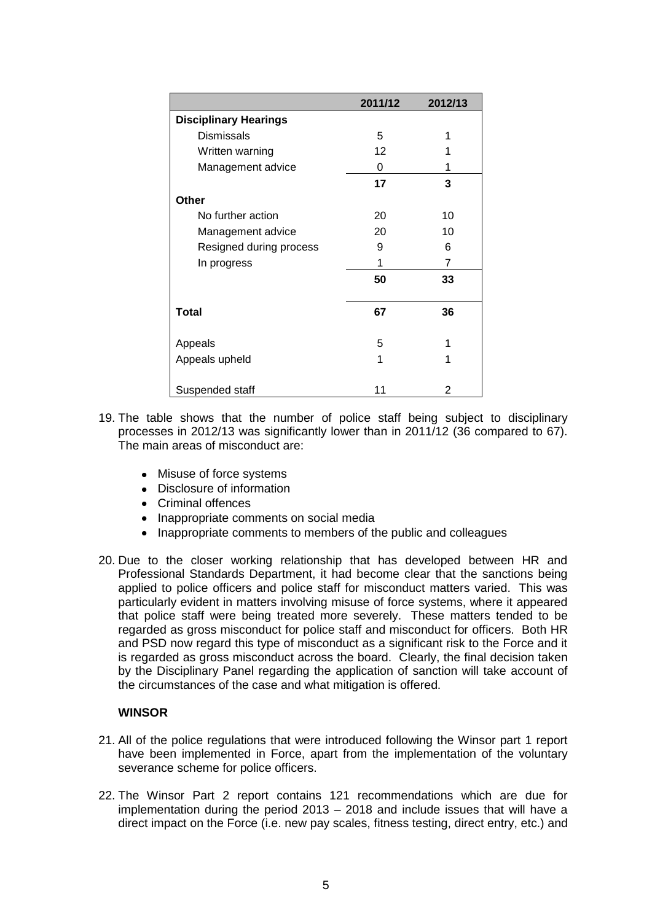|                              | 2011/12 | 2012/13 |
|------------------------------|---------|---------|
| <b>Disciplinary Hearings</b> |         |         |
| <b>Dismissals</b>            | 5       |         |
| Written warning              | 12      |         |
| Management advice            | 0       | 1       |
|                              | 17      | 3       |
| <b>Other</b>                 |         |         |
| No further action            | 20      | 10      |
| Management advice            | 20      | 10      |
| Resigned during process      | 9       | 6       |
| In progress                  | 1       | 7       |
|                              | 50      | 33      |
| <b>Total</b>                 | 67      | 36      |
| Appeals                      | 5       | 1       |
| Appeals upheld               | 1       | 1       |
| Suspended staff              | 11      | 2       |

- 19. The table shows that the number of police staff being subject to disciplinary processes in 2012/13 was significantly lower than in 2011/12 (36 compared to 67). The main areas of misconduct are:
	- Misuse of force systems
	- Disclosure of information
	- Criminal offences
	- Inappropriate comments on social media
	- Inappropriate comments to members of the public and colleagues
- 20. Due to the closer working relationship that has developed between HR and Professional Standards Department, it had become clear that the sanctions being applied to police officers and police staff for misconduct matters varied. This was particularly evident in matters involving misuse of force systems, where it appeared that police staff were being treated more severely. These matters tended to be regarded as gross misconduct for police staff and misconduct for officers. Both HR and PSD now regard this type of misconduct as a significant risk to the Force and it is regarded as gross misconduct across the board. Clearly, the final decision taken by the Disciplinary Panel regarding the application of sanction will take account of the circumstances of the case and what mitigation is offered.

#### **WINSOR**

- 21. All of the police regulations that were introduced following the Winsor part 1 report have been implemented in Force, apart from the implementation of the voluntary severance scheme for police officers.
- 22. The Winsor Part 2 report contains 121 recommendations which are due for implementation during the period 2013 – 2018 and include issues that will have a direct impact on the Force (i.e. new pay scales, fitness testing, direct entry, etc.) and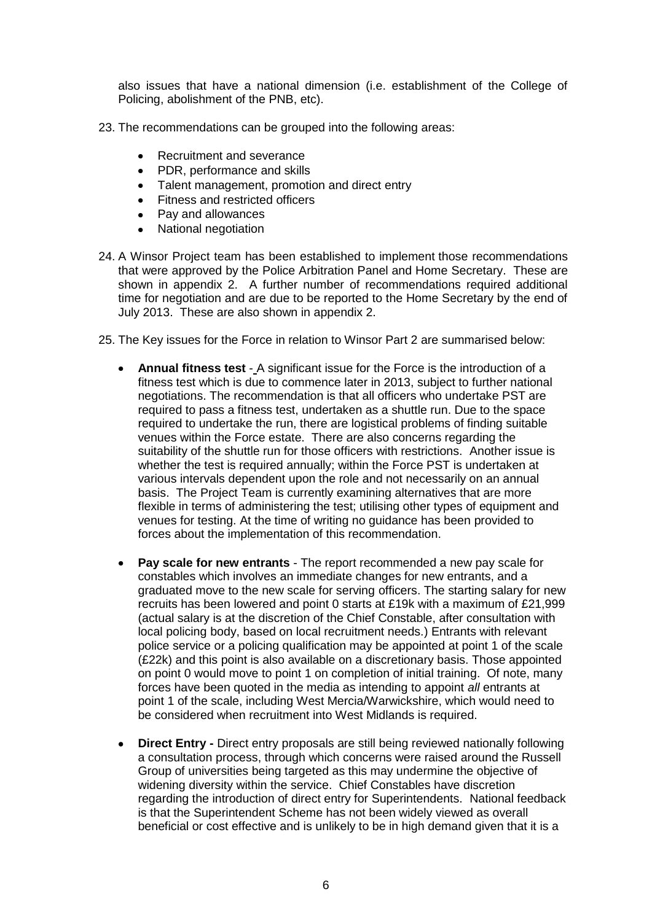also issues that have a national dimension (i.e. establishment of the College of Policing, abolishment of the PNB, etc).

- 23. The recommendations can be grouped into the following areas:
	- Recruitment and severance
	- PDR, performance and skills
	- Talent management, promotion and direct entry
	- Fitness and restricted officers
	- Pay and allowances
	- $\blacksquare$ National negotiation
- 24. A Winsor Project team has been established to implement those recommendations that were approved by the Police Arbitration Panel and Home Secretary. These are shown in appendix 2. A further number of recommendations required additional time for negotiation and are due to be reported to the Home Secretary by the end of July 2013. These are also shown in appendix 2.
- 25. The Key issues for the Force in relation to Winsor Part 2 are summarised below:
	- **Annual fitness test**  A significant issue for the Force is the introduction of a fitness test which is due to commence later in 2013, subject to further national negotiations. The recommendation is that all officers who undertake PST are required to pass a fitness test, undertaken as a shuttle run. Due to the space required to undertake the run, there are logistical problems of finding suitable venues within the Force estate. There are also concerns regarding the suitability of the shuttle run for those officers with restrictions. Another issue is whether the test is required annually; within the Force PST is undertaken at various intervals dependent upon the role and not necessarily on an annual basis. The Project Team is currently examining alternatives that are more flexible in terms of administering the test; utilising other types of equipment and venues for testing. At the time of writing no guidance has been provided to forces about the implementation of this recommendation.
	- **Pay scale for new entrants** The report recommended a new pay scale for constables which involves an immediate changes for new entrants, and a graduated move to the new scale for serving officers. The starting salary for new recruits has been lowered and point 0 starts at £19k with a maximum of £21,999 (actual salary is at the discretion of the Chief Constable, after consultation with local policing body, based on local recruitment needs.) Entrants with relevant police service or a policing qualification may be appointed at point 1 of the scale (£22k) and this point is also available on a discretionary basis. Those appointed on point 0 would move to point 1 on completion of initial training. Of note, many forces have been quoted in the media as intending to appoint *all* entrants at point 1 of the scale, including West Mercia/Warwickshire, which would need to be considered when recruitment into West Midlands is required.
	- **Direct Entry -** Direct entry proposals are still being reviewed nationally following  $\bullet$ a consultation process, through which concerns were raised around the Russell Group of universities being targeted as this may undermine the objective of widening diversity within the service. Chief Constables have discretion regarding the introduction of direct entry for Superintendents. National feedback is that the Superintendent Scheme has not been widely viewed as overall beneficial or cost effective and is unlikely to be in high demand given that it is a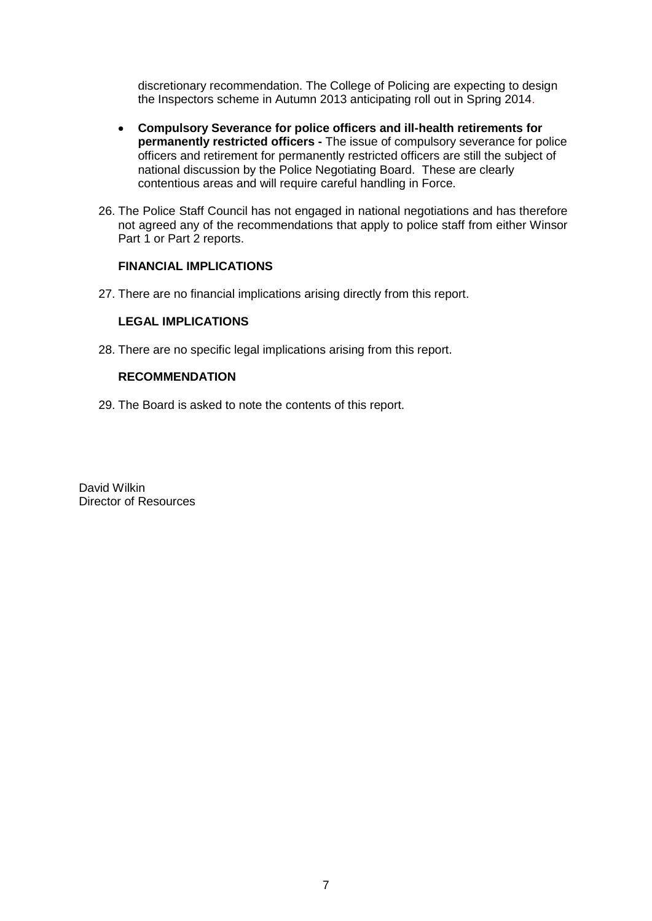discretionary recommendation. The College of Policing are expecting to design the Inspectors scheme in Autumn 2013 anticipating roll out in Spring 2014.

- **Compulsory Severance for police officers and ill-health retirements for**   $\bullet$ **permanently restricted officers -** The issue of compulsory severance for police officers and retirement for permanently restricted officers are still the subject of national discussion by the Police Negotiating Board. These are clearly contentious areas and will require careful handling in Force.
- 26. The Police Staff Council has not engaged in national negotiations and has therefore not agreed any of the recommendations that apply to police staff from either Winsor Part 1 or Part 2 reports.

#### **FINANCIAL IMPLICATIONS**

27. There are no financial implications arising directly from this report.

#### **LEGAL IMPLICATIONS**

28. There are no specific legal implications arising from this report.

### **RECOMMENDATION**

29. The Board is asked to note the contents of this report.

David Wilkin Director of Resources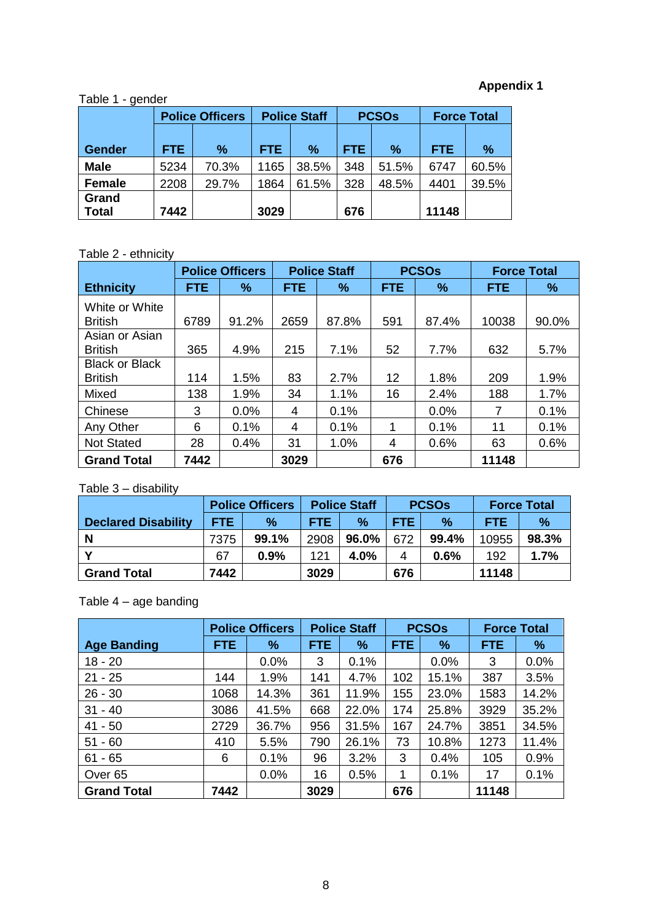# **Appendix 1**

## Table 1 - gender

|               |      | <b>Police Officers</b> |            | <b>Police Staff</b> |            | <b>PCSOs</b> | <b>Force Total</b> |       |
|---------------|------|------------------------|------------|---------------------|------------|--------------|--------------------|-------|
|               |      |                        |            |                     |            |              |                    |       |
| <b>Gender</b> | FTE. | $\frac{9}{6}$          | <b>FTE</b> | $\%$                | <b>FTE</b> | $\%$         | <b>FTE</b>         | $\%$  |
| <b>Male</b>   | 5234 | 70.3%                  | 1165       | 38.5%               | 348        | 51.5%        | 6747               | 60.5% |
| <b>Female</b> | 2208 | 29.7%                  | 1864       | 61.5%               | 328        | 48.5%        | 4401               | 39.5% |
| Grand         |      |                        |            |                     |            |              |                    |       |
| <b>Total</b>  | 7442 |                        | 3029       |                     | 676        |              | 11148              |       |

## Table 2 - ethnicity

|                                         |            | <b>Police Officers</b> |            | <b>Police Staff</b> |            | <b>PCSOs</b> | <b>Force Total</b> |       |
|-----------------------------------------|------------|------------------------|------------|---------------------|------------|--------------|--------------------|-------|
| <b>Ethnicity</b>                        | <b>FTE</b> | ℅                      | <b>FTE</b> | %                   | <b>FTE</b> | %            | <b>FTE</b>         | $\%$  |
| White or White<br><b>British</b>        | 6789       | 91.2%                  | 2659       | 87.8%               | 591        | 87.4%        | 10038              | 90.0% |
| Asian or Asian<br><b>British</b>        | 365        | 4.9%                   | 215        | 7.1%                | 52         | 7.7%         | 632                | 5.7%  |
| <b>Black or Black</b><br><b>British</b> | 114        | 1.5%                   | 83         | 2.7%                | 12         | 1.8%         | 209                | 1.9%  |
| Mixed                                   | 138        | 1.9%                   | 34         | 1.1%                | 16         | 2.4%         | 188                | 1.7%  |
| Chinese                                 | 3          | $0.0\%$                | 4          | 0.1%                |            | 0.0%         | 7                  | 0.1%  |
| Any Other                               | 6          | 0.1%                   | 4          | 0.1%                |            | 0.1%         | 11                 | 0.1%  |
| <b>Not Stated</b>                       | 28         | 0.4%                   | 31         | 1.0%                | 4          | 0.6%         | 63                 | 0.6%  |
| <b>Grand Total</b>                      | 7442       |                        | 3029       |                     | 676        |              | 11148              |       |

## Table 3 – disability

|                            | <b>Police Officers</b> |       | <b>Police Staff</b> |       | <b>PCSOs</b> |       | <b>Force Total</b> |       |
|----------------------------|------------------------|-------|---------------------|-------|--------------|-------|--------------------|-------|
| <b>Declared Disability</b> | <b>FTE</b>             | %     | FTE.                | $\%$  | <b>FTE</b>   | $\%$  | <b>FTE</b>         | %     |
| <b>N</b>                   | 7375                   | 99.1% | 2908                | 96.0% | 672          | 99.4% | 10955              | 98.3% |
|                            | 67                     | 0.9%  | 121                 | 4.0%  | 4            | 0.6%  | 192                | 1.7%  |
| <b>Grand Total</b>         | 7442                   |       | 3029                |       | 676          |       | 11148              |       |

## Table 4 – age banding

|                    | <b>Police Officers</b> |       | <b>Police Staff</b> |       | <b>PCSOs</b> |       | <b>Force Total</b> |       |
|--------------------|------------------------|-------|---------------------|-------|--------------|-------|--------------------|-------|
| <b>Age Banding</b> | <b>FTE</b>             | %     | <b>FTE</b>          | %     | <b>FTE</b>   | $\%$  | <b>FTE</b>         | %     |
| $18 - 20$          |                        | 0.0%  | 3                   | 0.1%  |              | 0.0%  | 3                  | 0.0%  |
| $21 - 25$          | 144                    | 1.9%  | 141                 | 4.7%  | 102          | 15.1% | 387                | 3.5%  |
| $26 - 30$          | 1068                   | 14.3% | 361                 | 11.9% | 155          | 23.0% | 1583               | 14.2% |
| $31 - 40$          | 3086                   | 41.5% | 668                 | 22.0% | 174          | 25.8% | 3929               | 35.2% |
| 41 - 50            | 2729                   | 36.7% | 956                 | 31.5% | 167          | 24.7% | 3851               | 34.5% |
| $51 - 60$          | 410                    | 5.5%  | 790                 | 26.1% | 73           | 10.8% | 1273               | 11.4% |
| $61 - 65$          | 6                      | 0.1%  | 96                  | 3.2%  | 3            | 0.4%  | 105                | 0.9%  |
| Over <sub>65</sub> |                        | 0.0%  | 16                  | 0.5%  | 1            | 0.1%  | 17                 | 0.1%  |
| <b>Grand Total</b> | 7442                   |       | 3029                |       | 676          |       | 11148              |       |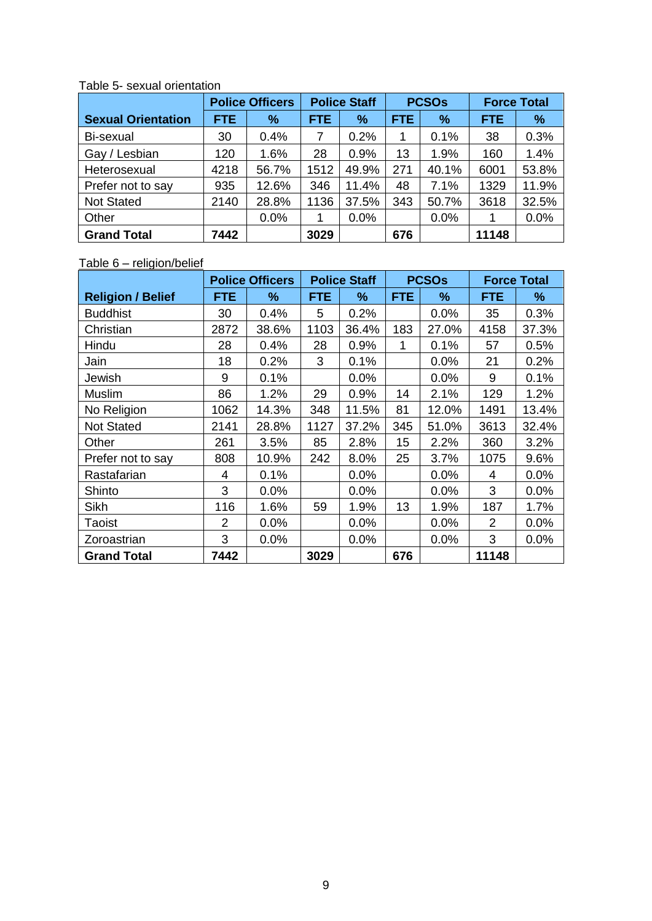|                           | <b>Police Officers</b> |       | <b>Police Staff</b> |       | <b>PCSOs</b> |       | <b>Force Total</b> |       |
|---------------------------|------------------------|-------|---------------------|-------|--------------|-------|--------------------|-------|
| <b>Sexual Orientation</b> | <b>FTE</b>             | %     | <b>FTE</b>          | %     | <b>FTE</b>   | $\%$  | <b>FTE</b>         | $\%$  |
| Bi-sexual                 | 30                     | 0.4%  |                     | 0.2%  | 1            | 0.1%  | 38                 | 0.3%  |
| Gay / Lesbian             | 120                    | 1.6%  | 28                  | 0.9%  | 13           | 1.9%  | 160                | 1.4%  |
| Heterosexual              | 4218                   | 56.7% | 1512                | 49.9% | 271          | 40.1% | 6001               | 53.8% |
| Prefer not to say         | 935                    | 12.6% | 346                 | 11.4% | 48           | 7.1%  | 1329               | 11.9% |
| <b>Not Stated</b>         | 2140                   | 28.8% | 1136                | 37.5% | 343          | 50.7% | 3618               | 32.5% |
| Other                     |                        | 0.0%  |                     | 0.0%  |              | 0.0%  |                    | 0.0%  |
| <b>Grand Total</b>        | 7442                   |       | 3029                |       | 676          |       | 11148              |       |

Table 5- sexual orientation

### Table 6 – religion/belief

|                          | <b>Police Officers</b> |       | <b>Police Staff</b> |       | <b>PCSOs</b> |       | <b>Force Total</b> |       |
|--------------------------|------------------------|-------|---------------------|-------|--------------|-------|--------------------|-------|
| <b>Religion / Belief</b> | <b>FTE</b>             | ℅     | <b>FTE</b>          | %     | <b>FTE</b>   | ℅     | <b>FTE</b>         | $\%$  |
| <b>Buddhist</b>          | 30                     | 0.4%  | 5                   | 0.2%  |              | 0.0%  | 35                 | 0.3%  |
| Christian                | 2872                   | 38.6% | 1103                | 36.4% | 183          | 27.0% | 4158               | 37.3% |
| Hindu                    | 28                     | 0.4%  | 28                  | 0.9%  | 1            | 0.1%  | 57                 | 0.5%  |
| Jain                     | 18                     | 0.2%  | 3                   | 0.1%  |              | 0.0%  | 21                 | 0.2%  |
| Jewish                   | 9                      | 0.1%  |                     | 0.0%  |              | 0.0%  | 9                  | 0.1%  |
| Muslim                   | 86                     | 1.2%  | 29                  | 0.9%  | 14           | 2.1%  | 129                | 1.2%  |
| No Religion              | 1062                   | 14.3% | 348                 | 11.5% | 81           | 12.0% | 1491               | 13.4% |
| <b>Not Stated</b>        | 2141                   | 28.8% | 1127                | 37.2% | 345          | 51.0% | 3613               | 32.4% |
| Other                    | 261                    | 3.5%  | 85                  | 2.8%  | 15           | 2.2%  | 360                | 3.2%  |
| Prefer not to say        | 808                    | 10.9% | 242                 | 8.0%  | 25           | 3.7%  | 1075               | 9.6%  |
| Rastafarian              | 4                      | 0.1%  |                     | 0.0%  |              | 0.0%  | 4                  | 0.0%  |
| Shinto                   | 3                      | 0.0%  |                     | 0.0%  |              | 0.0%  | 3                  | 0.0%  |
| Sikh                     | 116                    | 1.6%  | 59                  | 1.9%  | 13           | 1.9%  | 187                | 1.7%  |
| Taoist                   | $\overline{2}$         | 0.0%  |                     | 0.0%  |              | 0.0%  | $\overline{2}$     | 0.0%  |
| Zoroastrian              | 3                      | 0.0%  |                     | 0.0%  |              | 0.0%  | 3                  | 0.0%  |
| <b>Grand Total</b>       | 7442                   |       | 3029                |       | 676          |       | 11148              |       |